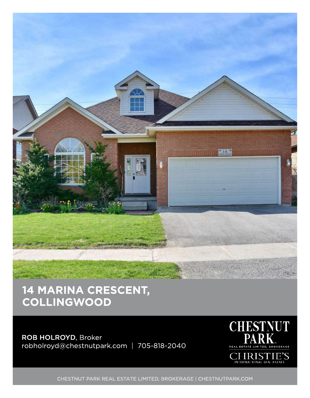

## 14 MARINA CRESCENT, **COLLINGWOOD**

ROB HOLROYD, Broker robholroyd@chestnutpark.com | 705-818-2040



CHESTNUT PARK REAL ESTATE LIMITED, BROKERAGE | CHESTNUTPARK.COM